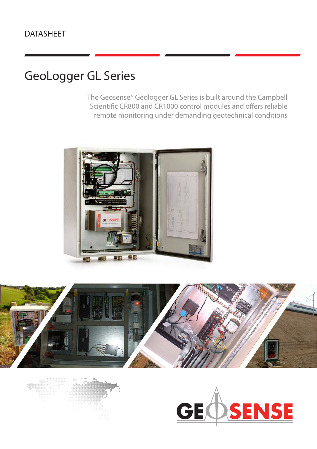## DATASHEET

# GeoLogger GL Series

The Geosense® Geologger GL Series is built around the Campbell Scientific CR800 and CR1000 control modules and offers reliable remote monitoring under demanding geotechnical conditions







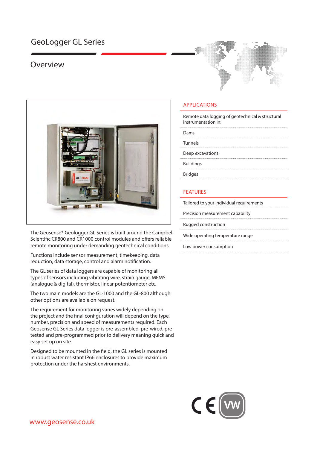### GeoLogger GL Series

### Overview



The Geosense® Geologger GL Series is built around the Campbell Scientific CR800 and CR1000 control modules and offers reliable remote monitoring under demanding geotechnical conditions.

Functions include sensor measurement, timekeeping, data reduction, data storage, control and alarm notification.

The GL series of data loggers are capable of monitoring all types of sensors including vibrating wire, strain gauge, MEMS (analogue & digital), thermistor, linear potentiometer etc.

The two main models are the GL-1000 and the GL-800 although other options are available on request.

The requirement for monitoring varies widely depending on the project and the final configuration will depend on the type, number, precision and speed of measurements required. Each Geosense GL Series data logger is pre-assembled, pre-wired, pretested and pre-programmed prior to delivery meaning quick and easy set up on site.

Designed to be mounted in the field, the GL series is mounted in robust water resistant IP66 enclosures to provide maximum protection under the harshest environments.



Remote data logging of geotechnical & structural instrumentation in:

Dams

Tunnels

Deep excavations

Buildings

Bridges

#### FEATURES

| Tailored to your individual requirements |
|------------------------------------------|
| Precision measurement capability         |
| Rugged construction                      |
| Wide operating temperature range         |
| Low power consumption                    |

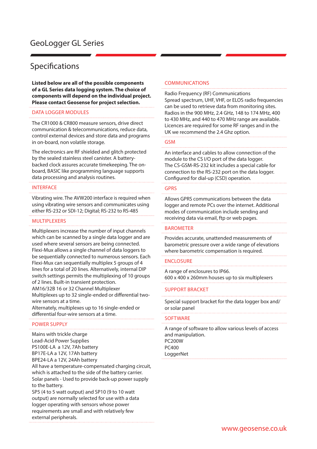### Specifications

**Listed below are all of the possible components of a GL Series data logging system. The choice of components will depend on the individual project. Please contact Geosense for project selection.**

#### DATA LOGGER MODULES

The CR1000 & CR800 measure sensors, drive direct communication & telecommunications, reduce data, control external devices and store data and programs in on-board, non volatile storage.

The electronics are RF shielded and glitch protected by the sealed stainless steel canister. A batterybacked clock assures accurate timekeeping. The onboard, BASIC like programming language supports data processing and analysis routines.

#### INTERFACE

Vibrating wire. The AVW200 interface is required when using vibrating wire sensors and communicates using either RS-232 or SDI-12; Digital; RS-232 to RS-485

#### MULTIPLEXERS

Multiplexers increase the number of input channels which can be scanned by a single data logger and are used where several sensors are being connected. Flexi-Mux allows a single channel of data loggers to be sequentially connected to numerous sensors. Each Flexi-Mux can sequentially multiplex 5 groups of 4 lines for a total of 20 lines. Alternatively, internal DIP switch settings permits the multiplexing of 10 groups of 2 lines. Built-in transient protection.

AM16/32B 16 or 32 Channel Multiplexer Multiplexes up to 32 single-ended or differential two-

wire sensors at a time. Alternately, multiplexes up to 16 single-ended or

differential four-wire sensors at a time.

#### POWER SUPPLY

Mains with trickle charge Lead-Acid Power Supplies PS100E-LA a 12V, 7Ah battery BP17E-LA a 12V, 17Ah battery BPE24-LA a 12V, 24Ah battery

All have a temperature-compensated charging circuit, which is attached to the side of the battery carrier. Solar panels - Used to provide back-up power supply to the battery.

SP5 (4 to 5 watt output) and SP10 (9 to 10 watt output) are normally selected for use with a data logger operating with sensors whose power requirements are small and with relatively few external peripherals.

#### COMMUNICATIONS

Radio Frequency (RF) Communications Spread spectrum, UHF, VHF, or ELOS radio frequencies can be used to retrieve data from monitoring sites. Radios in the 900 MHz, 2.4 GHz, 148 to 174 MHz, 400 to 430 MHz, and 440 to 470 MHz range are available. Licences are required for some RF ranges and in the UK we recommend the 2.4 Ghz option.

#### **GSM**

An interface and cables to allow connection of the module to the CS I/O port of the data logger. The CS-GSM-RS-232 kit includes a special cable for connection to the RS-232 port on the data logger. Configured for dial-up (CSD) operation.

#### GPRS

Allows GPRS communications between the data logger and remote PCs over the internet. Additional modes of communication include sending and receiving data via email, ftp or web pages.

#### BAROMETER

Provides accurate, unattended measurements of barometric pressure over a wide range of elevations where barometric compensation is required.

#### **ENCLOSURE**

A range of enclosures to IP66. 600 x 400 x 260mm houses up to six multiplexers

#### SUPPORT BRACKET

Special support bracket for the data logger box and/ or solar panel

#### **SOFTWARE**

A range of software to allow various levels of access and manipulation. PC200W PC400 **LoggerNet**